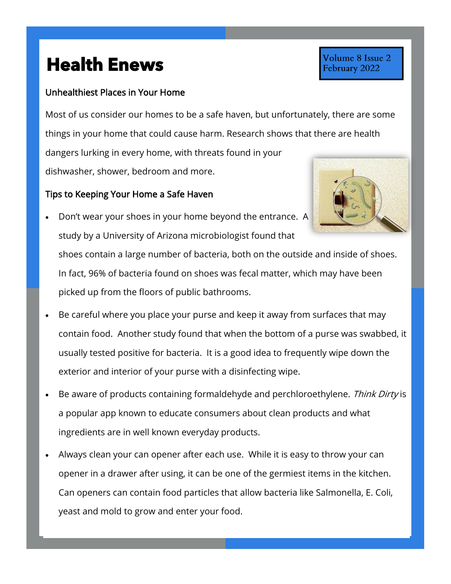## **Health Enews Health Enews**

## Unhealthiest Places in Your Home

Most of us consider our homes to be a safe haven, but unfortunately, there are some things in your home that could cause harm. Research shows that there are health dangers lurking in every home, with threats found in your dishwasher, shower, bedroom and more.

## Tips to Keeping Your Home a Safe Haven

- Don't wear your shoes in your home beyond the entrance. A study by a University of Arizona microbiologist found that shoes contain a large number of bacteria, both on the outside and inside of shoes. In fact, 96% of bacteria found on shoes was fecal matter, which may have been picked up from the floors of public bathrooms.
- Be careful where you place your purse and keep it away from surfaces that may contain food. Another study found that when the bottom of a purse was swabbed, it usually tested positive for bacteria. It is a good idea to frequently wipe down the exterior and interior of your purse with a disinfecting wipe.
- Be aware of products containing formaldehyde and perchloroethylene. Think Dirty is a popular app known to educate consumers about clean products and what ingredients are in well known everyday products.
- Always clean your can opener after each use. While it is easy to throw your can opener in a drawer after using, it can be one of the germiest items in the kitchen. Can openers can contain food particles that allow bacteria like Salmonella, E. Coli, yeast and mold to grow and enter your food.

## Volume 8 Issue 2 February 2022